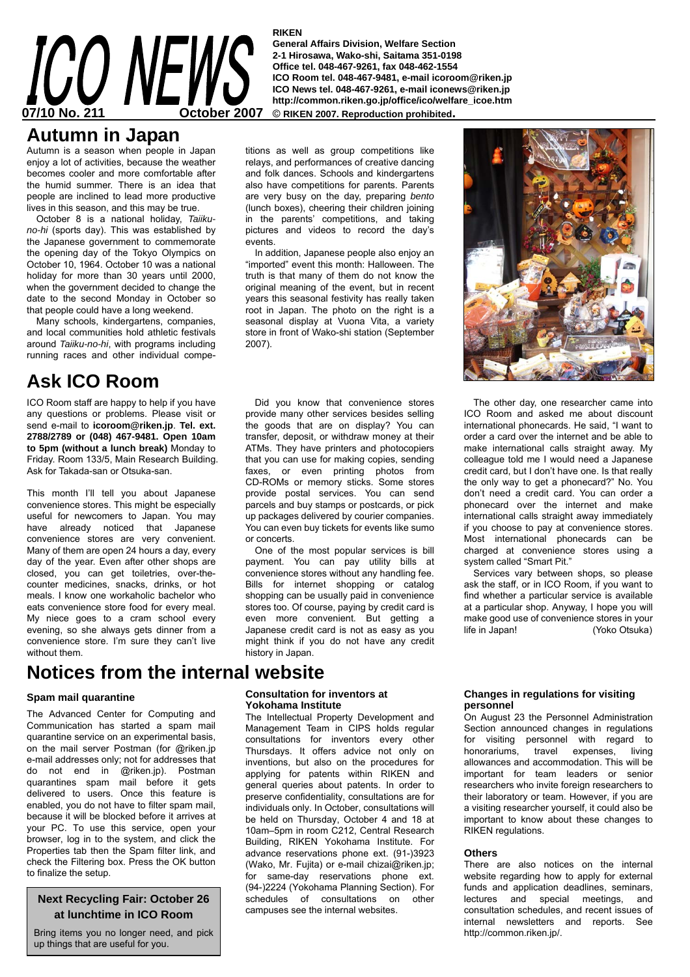#### **RIKEN**

**General Affairs Division, Welfare Section 2-1 Hirosawa, Wako-shi, Saitama 351-0198 Office tel. 048-467-9261, fax 048-462-1554 ICO Room tel. 048-467-9481, e-mail icoroom@riken.jp ICO News tel. 048-467-9261, e-mail iconews@riken.jp http://common.riken.go.jp/office/ico/welfare\_icoe.htm** 

### **Autumn in Japan**

Autumn is a season when people in Japan enjoy a lot of activities, because the weather becomes cooler and more comfortable after the humid summer. There is an idea that people are inclined to lead more productive lives in this season, and this may be true.

October 8 is a national holiday, *Taiikuno-hi* (sports day). This was established by the Japanese government to commemorate the opening day of the Tokyo Olympics on October 10, 1964. October 10 was a national holiday for more than 30 years until 2000, when the government decided to change the date to the second Monday in October so that people could have a long weekend.

Many schools, kindergartens, companies, and local communities hold athletic festivals around *Taiiku-no-hi*, with programs including running races and other individual compe-

# **Ask ICO Room**

ICO Room staff are happy to help if you have any questions or problems. Please visit or send e-mail to **icoroom@riken.jp**. **Tel. ext. 2788/2789 or (048) 467-9481. Open 10am to 5pm (without a lunch break)** Monday to Friday. Room 133/5, Main Research Building. Ask for Takada-san or Otsuka-san.

This month I'll tell you about Japanese convenience stores. This might be especially useful for newcomers to Japan. You may have already noticed that Japanese convenience stores are very convenient. Many of them are open 24 hours a day, every day of the year. Even after other shops are closed, you can get toiletries, over-thecounter medicines, snacks, drinks, or hot meals. I know one workaholic bachelor who eats convenience store food for every meal. My niece goes to a cram school every evening, so she always gets dinner from a convenience store. I'm sure they can't live without them.

# **Notices from the internal website**

#### **Spam mail quarantine**

The Advanced Center for Computing and Communication has started a spam mail quarantine service on an experimental basis, on the mail server Postman (for @riken.jp e-mail addresses only; not for addresses that do not end in @riken.jp). Postman quarantines spam mail before it gets delivered to users. Once this feature is enabled, you do not have to filter spam mail, because it will be blocked before it arrives at your PC. To use this service, open your browser, log in to the system, and click the Properties tab then the Spam filter link, and check the Filtering box. Press the OK button to finalize the setup.

#### **Next Recycling Fair: October 26 at lunchtime in ICO Room**

Bring items you no longer need, and pick up things that are useful for you.

titions as well as group competitions like relays, and performances of creative dancing and folk dances. Schools and kindergartens also have competitions for parents. Parents are very busy on the day, preparing *bento* (lunch boxes), cheering their children joining in the parents' competitions, and taking pictures and videos to record the day's events.

In addition, Japanese people also enjoy an "imported" event this month: Halloween. The truth is that many of them do not know the original meaning of the event, but in recent years this seasonal festivity has really taken root in Japan. The photo on the right is a seasonal display at Vuona Vita, a variety store in front of Wako-shi station (September 2007).

Did you know that convenience stores provide many other services besides selling the goods that are on display? You can transfer, deposit, or withdraw money at their ATMs. They have printers and photocopiers that you can use for making copies, sending faxes, or even printing photos from CD-ROMs or memory sticks. Some stores provide postal services. You can send parcels and buy stamps or postcards, or pick up packages delivered by courier companies. You can even buy tickets for events like sumo or concerts.

One of the most popular services is bill payment. You can pay utility bills at convenience stores without any handling fee. Bills for internet shopping or catalog shopping can be usually paid in convenience stores too. Of course, paying by credit card is even more convenient. But getting a Japanese credit card is not as easy as you might think if you do not have any credit history in Japan.

The other day, one researcher came into ICO Room and asked me about discount international phonecards. He said, "I want to order a card over the internet and be able to make international calls straight away. My colleague told me I would need a Japanese credit card, but I don't have one. Is that really the only way to get a phonecard?" No. You don't need a credit card. You can order a phonecard over the internet and make international calls straight away immediately if you choose to pay at convenience stores. Most international phonecards can be charged at convenience stores using a system called "Smart Pit."

Services vary between shops, so please ask the staff, or in ICO Room, if you want to find whether a particular service is available at a particular shop. Anyway, I hope you will make good use of convenience stores in your life in Japan! (Yoko Otsuka)

#### **Consultation for inventors at Yokohama Institute**

The Intellectual Property Development and Management Team in CIPS holds regular consultations for inventors every other Thursdays. It offers advice not only on inventions, but also on the procedures for applying for patents within RIKEN and general queries about patents. In order to preserve confidentiality, consultations are for individuals only. In October, consultations will be held on Thursday, October 4 and 18 at 10am–5pm in room C212, Central Research Building, RIKEN Yokohama Institute. For advance reservations phone ext. (91-)3923 (Wako, Mr. Fujita) or e-mail chizai@riken.jp; for same-day reservations phone ext. (94-)2224 (Yokohama Planning Section). For schedules of consultations on other campuses see the internal websites.

#### **Changes in regulations for visiting personnel**

On August 23 the Personnel Administration Section announced changes in regulations for visiting personnel with regard to honorariums, travel expenses, living allowances and accommodation. This will be important for team leaders or senior researchers who invite foreign researchers to their laboratory or team. However, if you are a visiting researcher yourself, it could also be important to know about these changes to RIKEN regulations.

#### **Others**

There are also notices on the internal website regarding how to apply for external funds and application deadlines, seminars, lectures and special meetings, and consultation schedules, and recent issues of internal newsletters and reports. See http://common.riken.jp/.



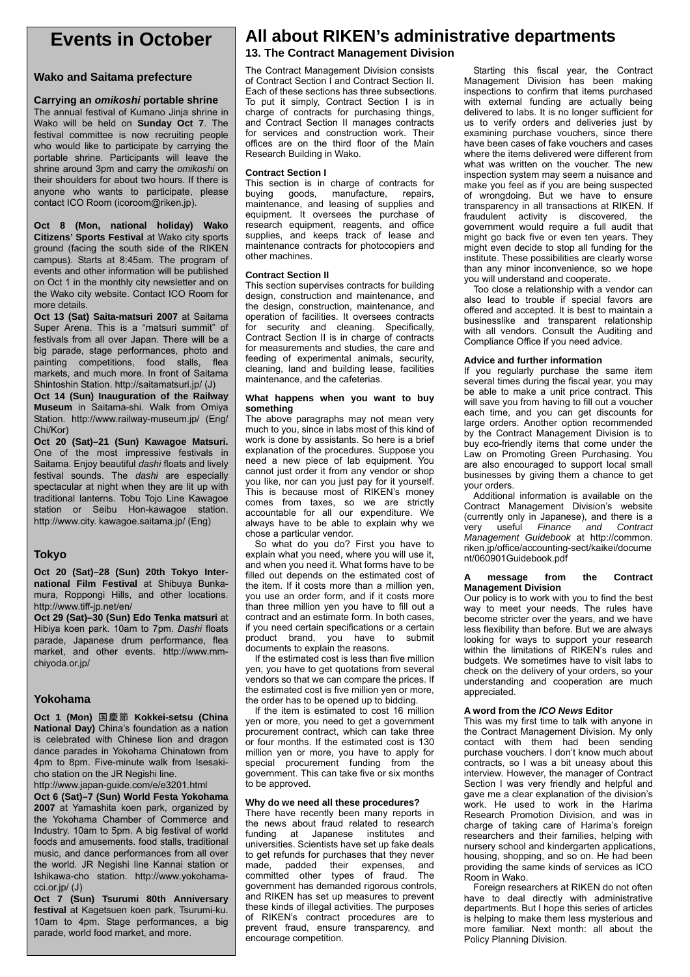### **Events in October**

#### **Wako and Saitama prefecture**

#### **Carrying an** *omikoshi* **portable shrine**

The annual festival of Kumano Jinja shrine in Wako will be held on **Sunday Oct 7**. The festival committee is now recruiting people who would like to participate by carrying the portable shrine. Participants will leave the shrine around 3pm and carry the *omikoshi* on their shoulders for about two hours. If there is anyone who wants to participate, please contact ICO Room (icoroom@riken.jp).

**Oct 8 (Mon, national holiday) Wako Citizens' Sports Festival** at Wako city sports ground (facing the south side of the RIKEN campus). Starts at 8:45am. The program of events and other information will be published on Oct 1 in the monthly city newsletter and on the Wako city website. Contact ICO Room for more details.

**Oct 13 (Sat) Saita-matsuri 2007** at Saitama Super Arena. This is a "matsuri summit" of festivals from all over Japan. There will be a big parade, stage performances, photo and painting competitions, food stalls, flea markets, and much more. In front of Saitama Shintoshin Station. http://saitamatsuri.jp/ (J)

**Oct 14 (Sun) Inauguration of the Railway Museum** in Saitama-shi. Walk from Omiya Station. http://www.railway-museum.jp/ (Eng/ Chi/Kor)

**Oct 20 (Sat)–21 (Sun) Kawagoe Matsuri.**  One of the most impressive festivals in Saitama. Enjoy beautiful *dashi* floats and lively festival sounds. The *dashi* are especially spectacular at night when they are lit up with traditional lanterns. Tobu Tojo Line Kawagoe station or Seibu Hon-kawagoe station. http://www.city. kawagoe.saitama.jp/ (Eng)

#### **Tokyo**

**Oct 20 (Sat)–28 (Sun) 20th Tokyo International Film Festival** at Shibuya Bunkamura, Roppongi Hills, and other locations. http://www.tiff-jp.net/en/

**Oct 29 (Sat)–30 (Sun) Edo Tenka matsuri** at Hibiya koen park. 10am to 7pm. *Dashi* floats parade, Japanese drum performance, flea market, and other events. http://www.mmchiyoda.or.jp/

#### **Yokohama**

**Oct 1 (Mon)** 国慶節 **Kokkei-setsu (China National Day)** China's foundation as a nation is celebrated with Chinese lion and dragon dance parades in Yokohama Chinatown from 4pm to 8pm. Five-minute walk from Isesakicho station on the JR Negishi line.

http://www.japan-guide.com/e/e3201.html

**Oct 6 (Sat)–7 (Sun) World Festa Yokohama 2007** at Yamashita koen park, organized by the Yokohama Chamber of Commerce and Industry. 10am to 5pm. A big festival of world foods and amusements. food stalls, traditional music, and dance performances from all over the world. JR Negishi line Kannai station or Ishikawa-cho station. http://www.yokohamacci.or.jp/ (J)

**Oct 7 (Sun) Tsurumi 80th Anniversary festival** at Kagetsuen koen park, Tsurumi-ku. 10am to 4pm. Stage performances, a big parade, world food market, and more.

## **All about RIKEN's administrative departments**

#### **13. The Contract Management Division**

The Contract Management Division consists of Contract Section I and Contract Section II. Each of these sections has three subsections. To put it simply, Contract Section I is in charge of contracts for purchasing things, and Contract Section II manages contracts for services and construction work. Their offices are on the third floor of the Main Research Building in Wako.

#### **Contract Section I**

This section is in charge of contracts for buying goods, manufacture, repairs, maintenance, and leasing of supplies and equipment. It oversees the purchase of research equipment, reagents, and office supplies, and keeps track of lease and maintenance contracts for photocopiers and other machines.

#### **Contract Section II**

This section supervises contracts for building design, construction and maintenance, and the design, construction, maintenance, and operation of facilities. It oversees contracts for security and cleaning. Specifically, Contract Section II is in charge of contracts for measurements and studies, the care and feeding of experimental animals, security, cleaning, land and building lease, facilities maintenance, and the cafeterias.

#### **What happens when you want to buy something**

The above paragraphs may not mean very much to you, since in labs most of this kind of work is done by assistants. So here is a brief explanation of the procedures. Suppose you need a new piece of lab equipment. You cannot just order it from any vendor or shop you like, nor can you just pay for it yourself. This is because most of RIKEN's money comes from taxes, so we are strictly accountable for all our expenditure. We always have to be able to explain why we chose a particular vendor.

So what do you do? First you have to explain what you need, where you will use it, and when you need it. What forms have to be filled out depends on the estimated cost of the item. If it costs more than a million yen, you use an order form, and if it costs more than three million yen you have to fill out a contract and an estimate form. In both cases, if you need certain specifications or a certain product brand, you have to submit documents to explain the reasons.

If the estimated cost is less than five million yen, you have to get quotations from several vendors so that we can compare the prices. If the estimated cost is five million yen or more, the order has to be opened up to bidding.

If the item is estimated to cost 16 million yen or more, you need to get a government procurement contract, which can take three or four months. If the estimated cost is 130 million yen or more, you have to apply for special procurement funding from the government. This can take five or six months to be approved.

#### **Why do we need all these procedures?**

There have recently been many reports in the news about fraud related to research funding at Japanese institutes and universities. Scientists have set up fake deals to get refunds for purchases that they never made, padded their expenses, and committed other types of fraud. The government has demanded rigorous controls, and RIKEN has set up measures to prevent these kinds of illegal activities. The purposes of RIKEN's contract procedures are to prevent fraud, ensure transparency, and encourage competition.

Starting this fiscal year, the Contract Management Division has been making inspections to confirm that items purchased with external funding are actually being delivered to labs. It is no longer sufficient for us to verify orders and deliveries just by examining purchase vouchers, since there have been cases of fake vouchers and cases where the items delivered were different from what was written on the voucher. The new inspection system may seem a nuisance and make you feel as if you are being suspected of wrongdoing. But we have to ensure transparency in all transactions at RIKEN. If fraudulent activity is discovered, the government would require a full audit that might go back five or even ten years. They might even decide to stop all funding for the institute. These possibilities are clearly worse than any minor inconvenience, so we hope you will understand and cooperate.

Too close a relationship with a vendor can also lead to trouble if special favors are offered and accepted. It is best to maintain a businesslike and transparent relationship with all vendors. Consult the Auditing and Compliance Office if you need advice.

#### **Advice and further information**

If you regularly purchase the same item several times during the fiscal year, you may be able to make a unit price contract. This will save you from having to fill out a voucher each time, and you can get discounts for large orders. Another option recommended by the Contract Management Division is to buy eco-friendly items that come under the Law on Promoting Green Purchasing. You are also encouraged to support local small businesses by giving them a chance to get your orders.

Additional information is available on the Contract Management Division's website (currently only in Japanese), and there is a very useful *Finance and Contract Management Guidebook* at http://common. riken.jp/office/accounting-sect/kaikei/docume nt/060901Guidebook.pdf

#### **A message from the Contract Management Division**

Our policy is to work with you to find the best way to meet your needs. The rules have become stricter over the years, and we have less flexibility than before. But we are always looking for ways to support your research within the limitations of RIKEN's rules and budgets. We sometimes have to visit labs to check on the delivery of your orders, so your understanding and cooperation are much appreciated.

#### **A word from the** *ICO News* **Editor**

This was my first time to talk with anyone in the Contract Management Division. My only contact with them had been sending purchase vouchers. I don't know much about contracts, so I was a bit uneasy about this interview. However, the manager of Contract Section I was very friendly and helpful and gave me a clear explanation of the division's work. He used to work in the Harima Research Promotion Division, and was in charge of taking care of Harima's foreign researchers and their families, helping with nursery school and kindergarten applications, housing, shopping, and so on. He had been providing the same kinds of services as ICO Room in Wako.

Foreign researchers at RIKEN do not often have to deal directly with administrative departments. But I hope this series of articles is helping to make them less mysterious and more familiar. Next month: all about the Policy Planning Division.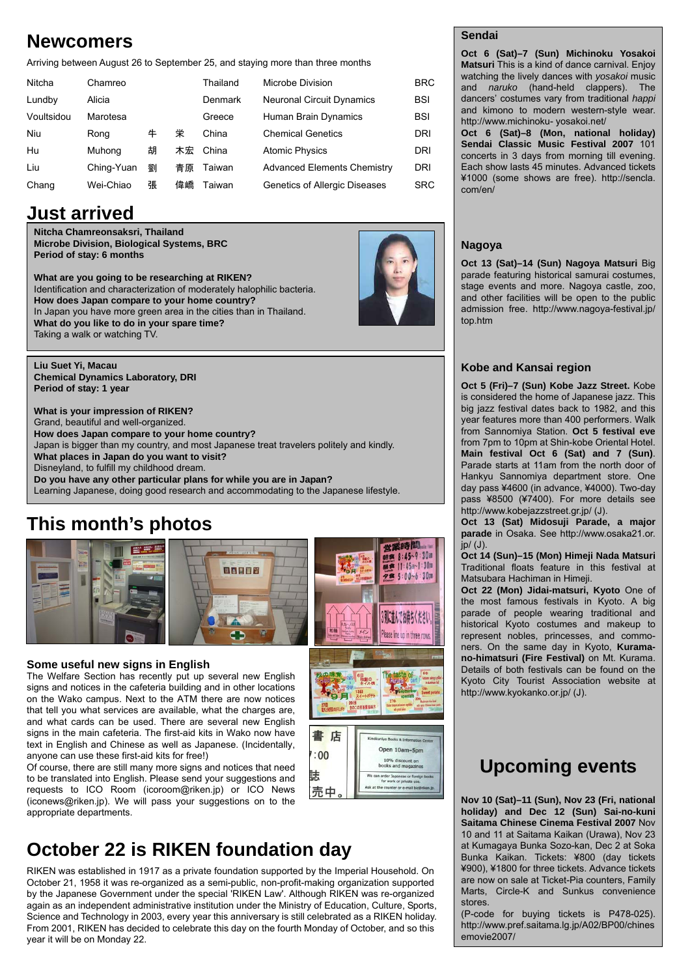# **Newcomers**

Arriving between August 26 to September 25, and staying more than three months

| Nitcha     | Chamreo    |   |    | Thailand       | Microbe Division                   | <b>BRC</b> |
|------------|------------|---|----|----------------|------------------------------------|------------|
| Lundby     | Alicia     |   |    | <b>Denmark</b> | <b>Neuronal Circuit Dynamics</b>   | <b>BSI</b> |
| Voultsidou | Marotesa   |   |    | Greece         | Human Brain Dynamics               | <b>BSI</b> |
| Niu        | Rong       | 牛 | 栄  | China          | <b>Chemical Genetics</b>           | <b>DRI</b> |
| Hu         | Muhong     | 胡 | 木宏 | China          | <b>Atomic Physics</b>              | <b>DRI</b> |
| Liu        | Ching-Yuan | 劉 | 青原 | Taiwan         | <b>Advanced Elements Chemistry</b> | DRI        |
| Chang      | Wei-Chiao  | 張 | 偉嶠 | Taiwan         | Genetics of Allergic Diseases      | <b>SRC</b> |

# **Just arrived**

**Nitcha Chamreonsaksri, Thailand Microbe Division, Biological Systems, BRC Period of stay: 6 months** 

**What are you going to be researching at RIKEN?**  Identification and characterization of moderately halophilic bacteria. **How does Japan compare to your home country?** In Japan you have more green area in the cities than in Thailand. **What do you like to do in your spare time?**  Taking a walk or watching TV.

**Liu Suet Yi, Macau Chemical Dynamics Laboratory, DRI Period of stay: 1 year** 

**What is your impression of RIKEN?**  Grand, beautiful and well-organized. **How does Japan compare to your home country?** Japan is bigger than my country, and most Japanese treat travelers politely and kindly. **What places in Japan do you want to visit?**  Disneyland, to fulfill my childhood dream. **Do you have any other particular plans for while you are in Japan?**  Learning Japanese, doing good research and accommodating to the Japanese lifestyle.

# **This month's photos**





### **Some useful new signs in English**

The Welfare Section has recently put up several new English signs and notices in the cafeteria building and in other locations on the Wako campus. Next to the ATM there are now notices that tell you what services are available, what the charges are, and what cards can be used. There are several new English signs in the main cafeteria. The first-aid kits in Wako now have text in English and Chinese as well as Japanese. (Incidentally, anyone can use these first-aid kits for free!)

Of course, there are still many more signs and notices that need to be translated into English. Please send your suggestions and requests to ICO Room (icoroom@riken.jp) or ICO News (iconews@riken.jp). We will pass your suggestions on to the appropriate departments.



n order Japanese or for<br>for work or private us

詓

売中

**October 22 is RIKEN foundation day**

RIKEN was established in 1917 as a private foundation supported by the Imperial Household. On October 21, 1958 it was re-organized as a semi-public, non-profit-making organization supported by the Japanese Government under the special 'RIKEN Law'. Although RIKEN was re-organized again as an independent administrative institution under the Ministry of Education, Culture, Sports, Science and Technology in 2003, every year this anniversary is still celebrated as a RIKEN holiday. From 2001, RIKEN has decided to celebrate this day on the fourth Monday of October, and so this year it will be on Monday 22.

### **Sendai**

**Oct 6 (Sat)–7 (Sun) Michinoku Yosakoi Matsuri** This is a kind of dance carnival. Enjoy watching the lively dances with *yosakoi* music and *naruko* (hand-held clappers). The dancers' costumes vary from traditional *happi* and kimono to modern western-style wear. http://www.michinoku- yosakoi.net/

**Oct 6 (Sat)–8 (Mon, national holiday) Sendai Classic Music Festival 2007** 101 concerts in 3 days from morning till evening. Each show lasts 45 minutes. Advanced tickets ¥1000 (some shows are free). http://sencla. com/en/

### **Nagoya**

**Oct 13 (Sat)–14 (Sun) Nagoya Matsuri** Big parade featuring historical samurai costumes, stage events and more. Nagoya castle, zoo, and other facilities will be open to the public admission free. http://www.nagoya-festival.jp/ top.htm

### **Kobe and Kansai region**

**Oct 5 (Fri)–7 (Sun) Kobe Jazz Street.** Kobe is considered the home of Japanese jazz. This big jazz festival dates back to 1982, and this year features more than 400 performers. Walk from Sannomiya Station. **Oct 5 festival eve** from 7pm to 10pm at Shin-kobe Oriental Hotel. **Main festival Oct 6 (Sat) and 7 (Sun)**. Parade starts at 11am from the north door of Hankyu Sannomiya department store. One day pass ¥4600 (in advance, ¥4000). Two-day pass ¥8500 (¥7400). For more details see http://www.kobejazzstreet.gr.jp/ (J).

**Oct 13 (Sat) Midosuji Parade, a major parade** in Osaka. See http://www.osaka21.or. jp/ (J).

**Oct 14 (Sun)–15 (Mon) Himeji Nada Matsuri** Traditional floats feature in this festival at Matsubara Hachiman in Himeji.

**Oct 22 (Mon) Jidai-matsuri, Kyoto** One of the most famous festivals in Kyoto. A big parade of people wearing traditional and historical Kyoto costumes and makeup to represent nobles, princesses, and commoners. On the same day in Kyoto, **Kuramano-himatsuri (Fire Festival)** on Mt. Kurama. Details of both festivals can be found on the Kyoto City Tourist Association website at http://www.kyokanko.or.jp/ (J).

# **Upcoming events**

**Nov 10 (Sat)–11 (Sun), Nov 23 (Fri, national holiday) and Dec 12 (Sun) Sai-no-kuni Saitama Chinese Cinema Festival 2007** Nov 10 and 11 at Saitama Kaikan (Urawa), Nov 23 at Kumagaya Bunka Sozo-kan, Dec 2 at Soka Bunka Kaikan. Tickets: ¥800 (day tickets ¥900), ¥1800 for three tickets. Advance tickets are now on sale at Ticket-Pia counters, Family Marts, Circle-K and Sunkus convenience stores.

(P-code for buying tickets is P478-025). http://www.pref.saitama.lg.jp/A02/BP00/chines emovie2007/



営業時間

朝食 8:45~9:30a

夕食 5:00~6:30pm

3列に並んでお待ちく ださい Please line up in three rows